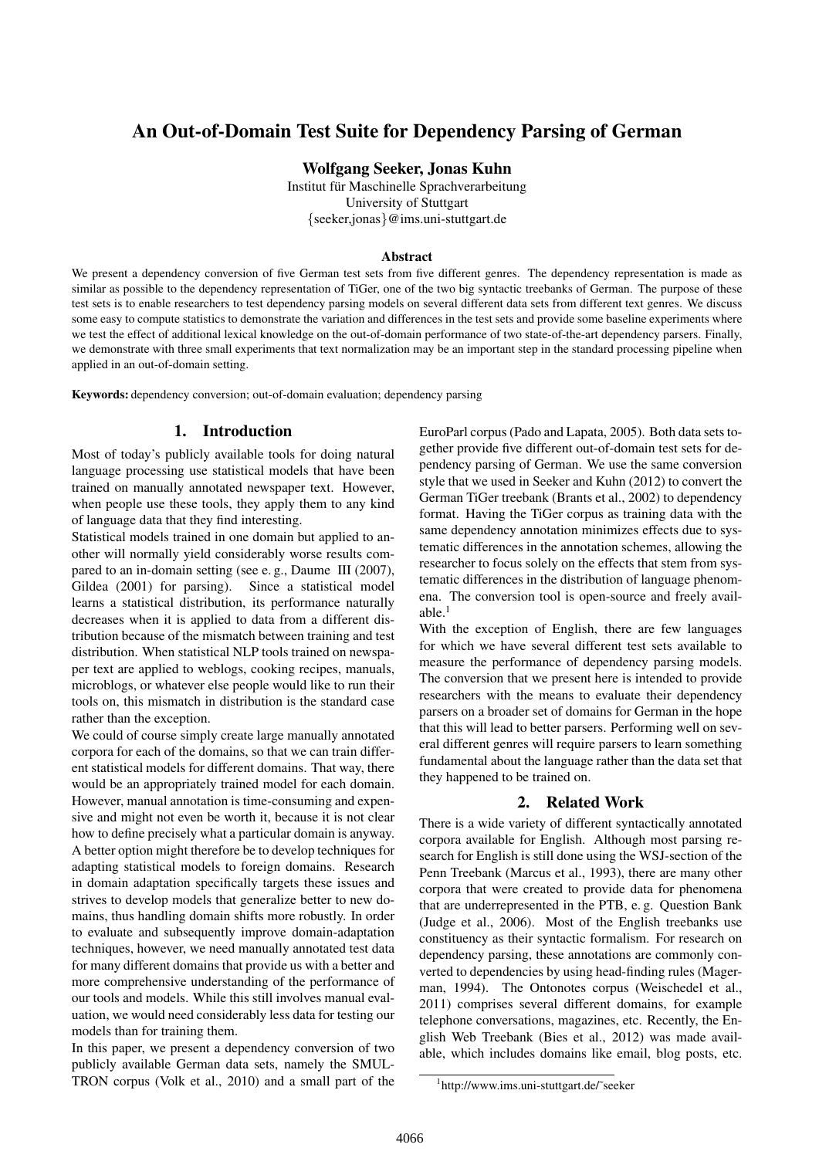# An Out-of-Domain Test Suite for Dependency Parsing of German

Wolfgang Seeker, Jonas Kuhn

Institut für Maschinelle Sprachverarbeitung University of Stuttgart {seeker,jonas}@ims.uni-stuttgart.de

#### Abstract

We present a dependency conversion of five German test sets from five different genres. The dependency representation is made as similar as possible to the dependency representation of TiGer, one of the two big syntactic treebanks of German. The purpose of these test sets is to enable researchers to test dependency parsing models on several different data sets from different text genres. We discuss some easy to compute statistics to demonstrate the variation and differences in the test sets and provide some baseline experiments where we test the effect of additional lexical knowledge on the out-of-domain performance of two state-of-the-art dependency parsers. Finally, we demonstrate with three small experiments that text normalization may be an important step in the standard processing pipeline when applied in an out-of-domain setting.

Keywords: dependency conversion; out-of-domain evaluation; dependency parsing

#### 1. Introduction

Most of today's publicly available tools for doing natural language processing use statistical models that have been trained on manually annotated newspaper text. However, when people use these tools, they apply them to any kind of language data that they find interesting.

Statistical models trained in one domain but applied to another will normally yield considerably worse results compared to an in-domain setting (see e. g., Daume III (2007), Gildea (2001) for parsing). Since a statistical model learns a statistical distribution, its performance naturally decreases when it is applied to data from a different distribution because of the mismatch between training and test distribution. When statistical NLP tools trained on newspaper text are applied to weblogs, cooking recipes, manuals, microblogs, or whatever else people would like to run their tools on, this mismatch in distribution is the standard case rather than the exception.

We could of course simply create large manually annotated corpora for each of the domains, so that we can train different statistical models for different domains. That way, there would be an appropriately trained model for each domain. However, manual annotation is time-consuming and expensive and might not even be worth it, because it is not clear how to define precisely what a particular domain is anyway. A better option might therefore be to develop techniques for adapting statistical models to foreign domains. Research in domain adaptation specifically targets these issues and strives to develop models that generalize better to new domains, thus handling domain shifts more robustly. In order to evaluate and subsequently improve domain-adaptation techniques, however, we need manually annotated test data for many different domains that provide us with a better and more comprehensive understanding of the performance of our tools and models. While this still involves manual evaluation, we would need considerably less data for testing our models than for training them.

In this paper, we present a dependency conversion of two publicly available German data sets, namely the SMUL-TRON corpus (Volk et al., 2010) and a small part of the EuroParl corpus (Pado and Lapata, 2005). Both data sets together provide five different out-of-domain test sets for dependency parsing of German. We use the same conversion style that we used in Seeker and Kuhn (2012) to convert the German TiGer treebank (Brants et al., 2002) to dependency format. Having the TiGer corpus as training data with the same dependency annotation minimizes effects due to systematic differences in the annotation schemes, allowing the researcher to focus solely on the effects that stem from systematic differences in the distribution of language phenomena. The conversion tool is open-source and freely available. $<sup>1</sup>$ </sup>

With the exception of English, there are few languages for which we have several different test sets available to measure the performance of dependency parsing models. The conversion that we present here is intended to provide researchers with the means to evaluate their dependency parsers on a broader set of domains for German in the hope that this will lead to better parsers. Performing well on several different genres will require parsers to learn something fundamental about the language rather than the data set that they happened to be trained on.

#### 2. Related Work

There is a wide variety of different syntactically annotated corpora available for English. Although most parsing research for English is still done using the WSJ-section of the Penn Treebank (Marcus et al., 1993), there are many other corpora that were created to provide data for phenomena that are underrepresented in the PTB, e. g. Question Bank (Judge et al., 2006). Most of the English treebanks use constituency as their syntactic formalism. For research on dependency parsing, these annotations are commonly converted to dependencies by using head-finding rules (Magerman, 1994). The Ontonotes corpus (Weischedel et al., 2011) comprises several different domains, for example telephone conversations, magazines, etc. Recently, the English Web Treebank (Bies et al., 2012) was made available, which includes domains like email, blog posts, etc.

<sup>1</sup> http://www.ims.uni-stuttgart.de/˜seeker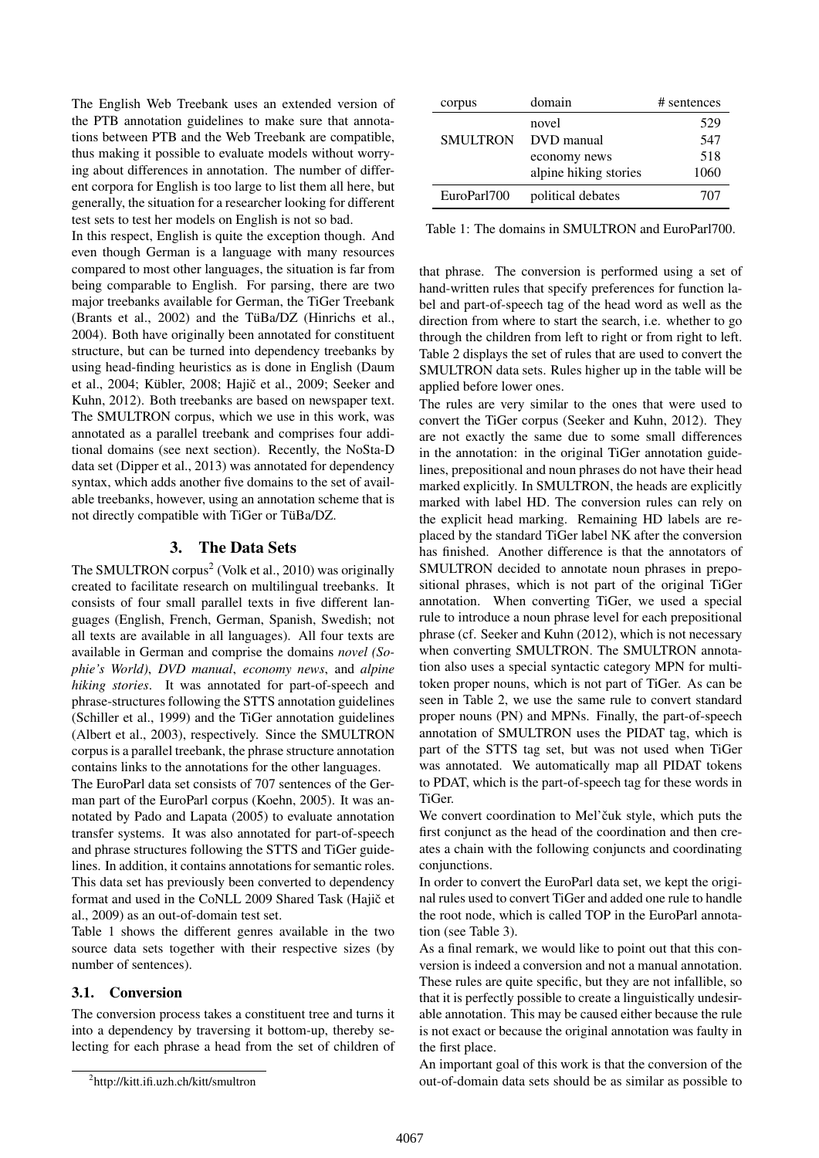The English Web Treebank uses an extended version of the PTB annotation guidelines to make sure that annotations between PTB and the Web Treebank are compatible, thus making it possible to evaluate models without worrying about differences in annotation. The number of different corpora for English is too large to list them all here, but generally, the situation for a researcher looking for different test sets to test her models on English is not so bad.

In this respect, English is quite the exception though. And even though German is a language with many resources compared to most other languages, the situation is far from being comparable to English. For parsing, there are two major treebanks available for German, the TiGer Treebank (Brants et al.,  $2002$ ) and the TüBa/DZ (Hinrichs et al., 2004). Both have originally been annotated for constituent structure, but can be turned into dependency treebanks by using head-finding heuristics as is done in English (Daum et al., 2004; Kübler, 2008; Hajič et al., 2009; Seeker and Kuhn, 2012). Both treebanks are based on newspaper text. The SMULTRON corpus, which we use in this work, was annotated as a parallel treebank and comprises four additional domains (see next section). Recently, the NoSta-D data set (Dipper et al., 2013) was annotated for dependency syntax, which adds another five domains to the set of available treebanks, however, using an annotation scheme that is not directly compatible with TiGer or TüBa/DZ.

# 3. The Data Sets

The SMULTRON corpus<sup>2</sup> (Volk et al., 2010) was originally created to facilitate research on multilingual treebanks. It consists of four small parallel texts in five different languages (English, French, German, Spanish, Swedish; not all texts are available in all languages). All four texts are available in German and comprise the domains *novel (Sophie's World)*, *DVD manual*, *economy news*, and *alpine hiking stories*. It was annotated for part-of-speech and phrase-structures following the STTS annotation guidelines (Schiller et al., 1999) and the TiGer annotation guidelines (Albert et al., 2003), respectively. Since the SMULTRON corpus is a parallel treebank, the phrase structure annotation contains links to the annotations for the other languages.

The EuroParl data set consists of 707 sentences of the German part of the EuroParl corpus (Koehn, 2005). It was annotated by Pado and Lapata (2005) to evaluate annotation transfer systems. It was also annotated for part-of-speech and phrase structures following the STTS and TiGer guidelines. In addition, it contains annotations for semantic roles. This data set has previously been converted to dependency format and used in the CoNLL 2009 Shared Task (Hajič et al., 2009) as an out-of-domain test set.

Table 1 shows the different genres available in the two source data sets together with their respective sizes (by number of sentences).

#### 3.1. Conversion

The conversion process takes a constituent tree and turns it into a dependency by traversing it bottom-up, thereby selecting for each phrase a head from the set of children of

| corpus          | domain                | # sentences |
|-----------------|-----------------------|-------------|
|                 | novel                 | 529         |
| <b>SMULTRON</b> | DVD manual            | 547         |
|                 | economy news          | 518         |
|                 | alpine hiking stories | 1060        |
| EuroParl700     | political debates     | 707         |

Table 1: The domains in SMULTRON and EuroParl700.

that phrase. The conversion is performed using a set of hand-written rules that specify preferences for function label and part-of-speech tag of the head word as well as the direction from where to start the search, i.e. whether to go through the children from left to right or from right to left. Table 2 displays the set of rules that are used to convert the SMULTRON data sets. Rules higher up in the table will be applied before lower ones.

The rules are very similar to the ones that were used to convert the TiGer corpus (Seeker and Kuhn, 2012). They are not exactly the same due to some small differences in the annotation: in the original TiGer annotation guidelines, prepositional and noun phrases do not have their head marked explicitly. In SMULTRON, the heads are explicitly marked with label HD. The conversion rules can rely on the explicit head marking. Remaining HD labels are replaced by the standard TiGer label NK after the conversion has finished. Another difference is that the annotators of SMULTRON decided to annotate noun phrases in prepositional phrases, which is not part of the original TiGer annotation. When converting TiGer, we used a special rule to introduce a noun phrase level for each prepositional phrase (cf. Seeker and Kuhn (2012), which is not necessary when converting SMULTRON. The SMULTRON annotation also uses a special syntactic category MPN for multitoken proper nouns, which is not part of TiGer. As can be seen in Table 2, we use the same rule to convert standard proper nouns (PN) and MPNs. Finally, the part-of-speech annotation of SMULTRON uses the PIDAT tag, which is part of the STTS tag set, but was not used when TiGer was annotated. We automatically map all PIDAT tokens to PDAT, which is the part-of-speech tag for these words in TiGer.

We convert coordination to Mel'čuk style, which puts the first conjunct as the head of the coordination and then creates a chain with the following conjuncts and coordinating conjunctions.

In order to convert the EuroParl data set, we kept the original rules used to convert TiGer and added one rule to handle the root node, which is called TOP in the EuroParl annotation (see Table 3).

As a final remark, we would like to point out that this conversion is indeed a conversion and not a manual annotation. These rules are quite specific, but they are not infallible, so that it is perfectly possible to create a linguistically undesirable annotation. This may be caused either because the rule is not exact or because the original annotation was faulty in the first place.

An important goal of this work is that the conversion of the out-of-domain data sets should be as similar as possible to

<sup>2</sup> http://kitt.ifi.uzh.ch/kitt/smultron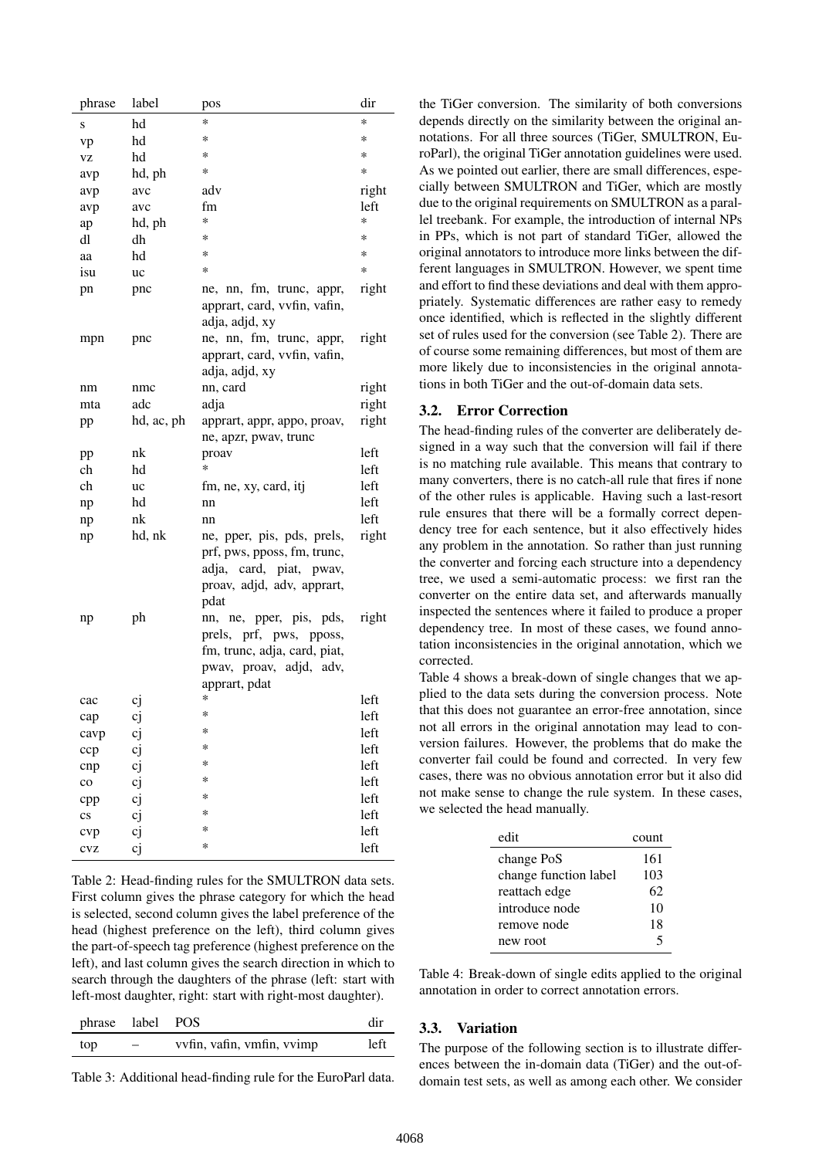| phrase                 | label      | pos                                            | dir   |
|------------------------|------------|------------------------------------------------|-------|
| S                      | hd         | *                                              | *     |
| vp                     | hd         | *                                              | *     |
| VZ                     | hd         | *                                              | *     |
| avp                    | hd, ph     | *                                              | *     |
| avp                    | avc        | adv                                            | right |
| avp                    | avc        | fm                                             | left  |
| ap                     | hd, ph     | *                                              | *     |
| dl                     | dh         | *                                              | *     |
| aa                     | hd         | *                                              | *     |
| isu                    | uc         | *                                              | *     |
| pn                     | pnc        | ne, nn, fm, trunc, appr,                       | right |
|                        |            | apprart, card, vvfin, vafin,<br>adja, adjd, xy |       |
|                        |            | ne, nn, fm, trunc, appr,                       | right |
| mpn                    | pnc        | apprart, card, vvfin, vafin,                   |       |
|                        |            | adja, adjd, xy                                 |       |
| nm                     | nmc        | nn, card                                       | right |
| mta                    | adc        | adja                                           | right |
| pp                     | hd, ac, ph | apprart, appr, appo, proav,                    | right |
|                        |            | ne, apzr, pway, trunc                          |       |
| pp                     | nk         | proav                                          | left  |
| ch                     | hd         | *                                              | left  |
| ch                     | uc         | fm, ne, xy, card, itj                          | left  |
| np                     | hd         | nn                                             | left  |
| np                     | nk         | nn                                             | left  |
| np                     | hd, nk     | ne, pper, pis, pds, prels,                     | right |
|                        |            | prf, pws, pposs, fm, trunc,                    |       |
|                        |            | adja,<br>card, piat, pwav,                     |       |
|                        |            | proav, adjd, adv, apprart,                     |       |
|                        |            | pdat                                           |       |
| np                     | ph         | nn, ne, pper, pis, pds,                        | right |
|                        |            | prels, prf, pws, pposs,                        |       |
|                        |            | fm, trunc, adja, card, piat,                   |       |
|                        |            | pwav, proav, adjd, adv,                        |       |
|                        |            | apprart, pdat                                  |       |
| cac                    | cj         | *                                              | left  |
| cap                    | cj         | *                                              | left  |
| cavp                   | cj         | ∗                                              | left  |
| ccp                    | cj         | *                                              | left  |
| cnp                    | cj         | *                                              | left  |
| $_{\rm co}$            | cj         | *                                              | left  |
| cpp                    | cj         | *                                              | left  |
| $\mathbf{c}\mathbf{s}$ | cj         | *                                              | left  |
| cvp                    | cj         | *                                              | left  |
| CVZ                    | cj         | *                                              | left  |

Table 2: Head-finding rules for the SMULTRON data sets. First column gives the phrase category for which the head is selected, second column gives the label preference of the head (highest preference on the left), third column gives the part-of-speech tag preference (highest preference on the left), and last column gives the search direction in which to search through the daughters of the phrase (left: start with left-most daughter, right: start with right-most daughter).

| phrase label POS |     |                            | dir  |
|------------------|-----|----------------------------|------|
| top              | $-$ | vvfin, vafin, vmfin, vvimp | left |

Table 3: Additional head-finding rule for the EuroParl data.

the TiGer conversion. The similarity of both conversions depends directly on the similarity between the original annotations. For all three sources (TiGer, SMULTRON, EuroParl), the original TiGer annotation guidelines were used. As we pointed out earlier, there are small differences, especially between SMULTRON and TiGer, which are mostly due to the original requirements on SMULTRON as a parallel treebank. For example, the introduction of internal NPs in PPs, which is not part of standard TiGer, allowed the original annotators to introduce more links between the different languages in SMULTRON. However, we spent time and effort to find these deviations and deal with them appropriately. Systematic differences are rather easy to remedy once identified, which is reflected in the slightly different set of rules used for the conversion (see Table 2). There are of course some remaining differences, but most of them are more likely due to inconsistencies in the original annotations in both TiGer and the out-of-domain data sets.

# 3.2. Error Correction

The head-finding rules of the converter are deliberately designed in a way such that the conversion will fail if there is no matching rule available. This means that contrary to many converters, there is no catch-all rule that fires if none of the other rules is applicable. Having such a last-resort rule ensures that there will be a formally correct dependency tree for each sentence, but it also effectively hides any problem in the annotation. So rather than just running the converter and forcing each structure into a dependency tree, we used a semi-automatic process: we first ran the converter on the entire data set, and afterwards manually inspected the sentences where it failed to produce a proper dependency tree. In most of these cases, we found annotation inconsistencies in the original annotation, which we corrected.

Table 4 shows a break-down of single changes that we applied to the data sets during the conversion process. Note that this does not guarantee an error-free annotation, since not all errors in the original annotation may lead to conversion failures. However, the problems that do make the converter fail could be found and corrected. In very few cases, there was no obvious annotation error but it also did not make sense to change the rule system. In these cases, we selected the head manually.

| edit                  | count |
|-----------------------|-------|
| change PoS            | 161   |
| change function label | 103   |
| reattach edge         | 62.   |
| introduce node        | 10    |
| remove node           | 18    |
| new root              | 5     |

Table 4: Break-down of single edits applied to the original annotation in order to correct annotation errors.

# 3.3. Variation

The purpose of the following section is to illustrate differences between the in-domain data (TiGer) and the out-ofdomain test sets, as well as among each other. We consider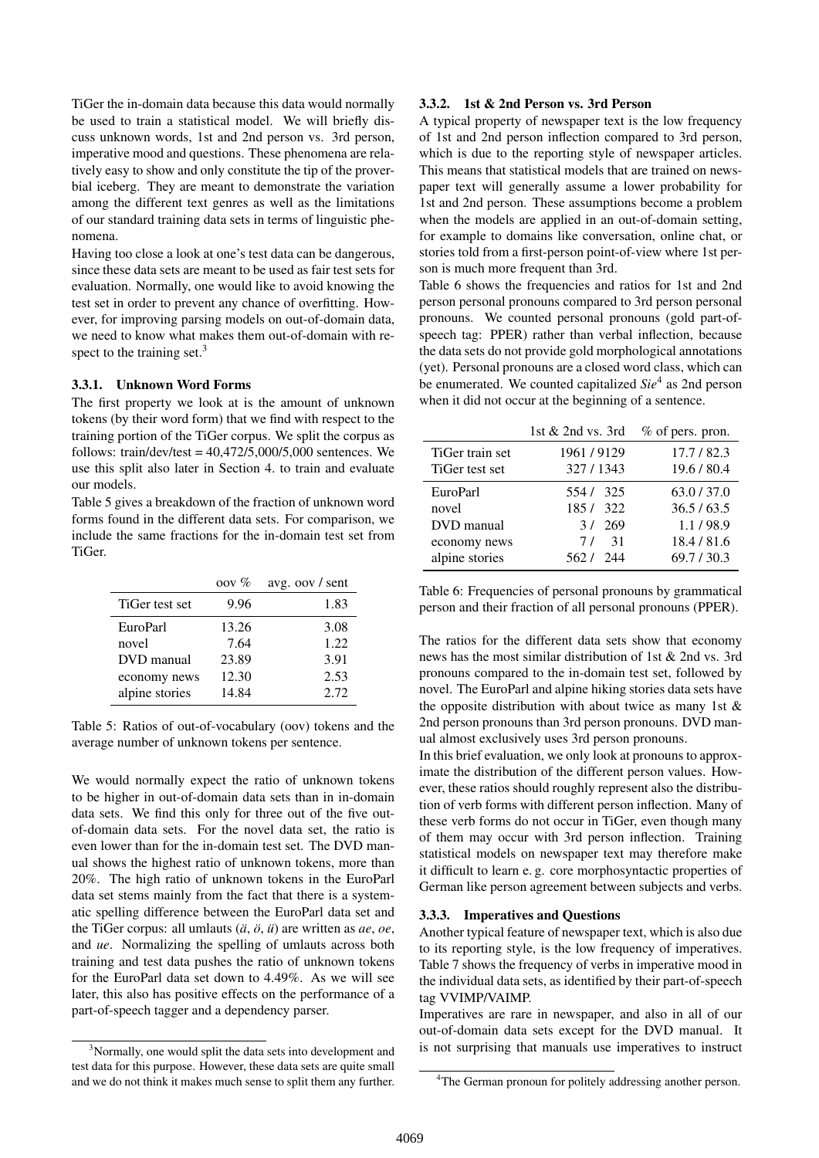TiGer the in-domain data because this data would normally be used to train a statistical model. We will briefly discuss unknown words, 1st and 2nd person vs. 3rd person, imperative mood and questions. These phenomena are relatively easy to show and only constitute the tip of the proverbial iceberg. They are meant to demonstrate the variation among the different text genres as well as the limitations of our standard training data sets in terms of linguistic phenomena.

Having too close a look at one's test data can be dangerous, since these data sets are meant to be used as fair test sets for evaluation. Normally, one would like to avoid knowing the test set in order to prevent any chance of overfitting. However, for improving parsing models on out-of-domain data, we need to know what makes them out-of-domain with respect to the training set.<sup>3</sup>

#### 3.3.1. Unknown Word Forms

The first property we look at is the amount of unknown tokens (by their word form) that we find with respect to the training portion of the TiGer corpus. We split the corpus as follows: train/dev/test =  $40,472/5,000/5,000$  sentences. We use this split also later in Section 4. to train and evaluate our models.

Table 5 gives a breakdown of the fraction of unknown word forms found in the different data sets. For comparison, we include the same fractions for the in-domain test set from TiGer.

|                | $00V\%$ | avg. oov / sent |
|----------------|---------|-----------------|
| TiGer test set | 9.96    | 1.83            |
| EuroParl       | 13.26   | 3.08            |
| novel          | 7.64    | 1.22            |
| DVD manual     | 23.89   | 3.91            |
| economy news   | 12.30   | 2.53            |
| alpine stories | 14.84   | 2.72.           |

Table 5: Ratios of out-of-vocabulary (oov) tokens and the average number of unknown tokens per sentence.

We would normally expect the ratio of unknown tokens to be higher in out-of-domain data sets than in in-domain data sets. We find this only for three out of the five outof-domain data sets. For the novel data set, the ratio is even lower than for the in-domain test set. The DVD manual shows the highest ratio of unknown tokens, more than 20%. The high ratio of unknown tokens in the EuroParl data set stems mainly from the fact that there is a systematic spelling difference between the EuroParl data set and the TiGer corpus: all umlauts (*a¨*, *o¨*, *u¨*) are written as *ae*, *oe*, and *ue*. Normalizing the spelling of umlauts across both training and test data pushes the ratio of unknown tokens for the EuroParl data set down to 4.49%. As we will see later, this also has positive effects on the performance of a part-of-speech tagger and a dependency parser.

## 3.3.2. 1st & 2nd Person vs. 3rd Person

A typical property of newspaper text is the low frequency of 1st and 2nd person inflection compared to 3rd person, which is due to the reporting style of newspaper articles. This means that statistical models that are trained on newspaper text will generally assume a lower probability for 1st and 2nd person. These assumptions become a problem when the models are applied in an out-of-domain setting, for example to domains like conversation, online chat, or stories told from a first-person point-of-view where 1st person is much more frequent than 3rd.

Table 6 shows the frequencies and ratios for 1st and 2nd person personal pronouns compared to 3rd person personal pronouns. We counted personal pronouns (gold part-ofspeech tag: PPER) rather than verbal inflection, because the data sets do not provide gold morphological annotations (yet). Personal pronouns are a closed word class, which can be enumerated. We counted capitalized *Sie*<sup>4</sup> as 2nd person when it did not occur at the beginning of a sentence.

|                 | 1st & 2nd vs. 3rd | $%$ of pers. pron. |
|-----------------|-------------------|--------------------|
| TiGer train set | 1961/9129         | 17.7/82.3          |
| TiGer test set  | 327/1343          | 19.6 / 80.4        |
| EuroParl        | 554/325           | 63.0 / 37.0        |
| novel           | 185/322           | 36.5 / 63.5        |
| DVD manual      | 3/269             | 1.1/98.9           |
| economy news    | 7/ 31             | 18.4 / 81.6        |
| alpine stories  | 562 / 244         | 69.7/30.3          |

Table 6: Frequencies of personal pronouns by grammatical person and their fraction of all personal pronouns (PPER).

The ratios for the different data sets show that economy news has the most similar distribution of 1st & 2nd vs. 3rd pronouns compared to the in-domain test set, followed by novel. The EuroParl and alpine hiking stories data sets have the opposite distribution with about twice as many 1st & 2nd person pronouns than 3rd person pronouns. DVD manual almost exclusively uses 3rd person pronouns.

In this brief evaluation, we only look at pronouns to approximate the distribution of the different person values. However, these ratios should roughly represent also the distribution of verb forms with different person inflection. Many of these verb forms do not occur in TiGer, even though many of them may occur with 3rd person inflection. Training statistical models on newspaper text may therefore make it difficult to learn e. g. core morphosyntactic properties of German like person agreement between subjects and verbs.

# 3.3.3. Imperatives and Questions

Another typical feature of newspaper text, which is also due to its reporting style, is the low frequency of imperatives. Table 7 shows the frequency of verbs in imperative mood in the individual data sets, as identified by their part-of-speech tag VVIMP/VAIMP.

Imperatives are rare in newspaper, and also in all of our out-of-domain data sets except for the DVD manual. It is not surprising that manuals use imperatives to instruct

<sup>&</sup>lt;sup>3</sup>Normally, one would split the data sets into development and test data for this purpose. However, these data sets are quite small and we do not think it makes much sense to split them any further.

<sup>&</sup>lt;sup>4</sup>The German pronoun for politely addressing another person.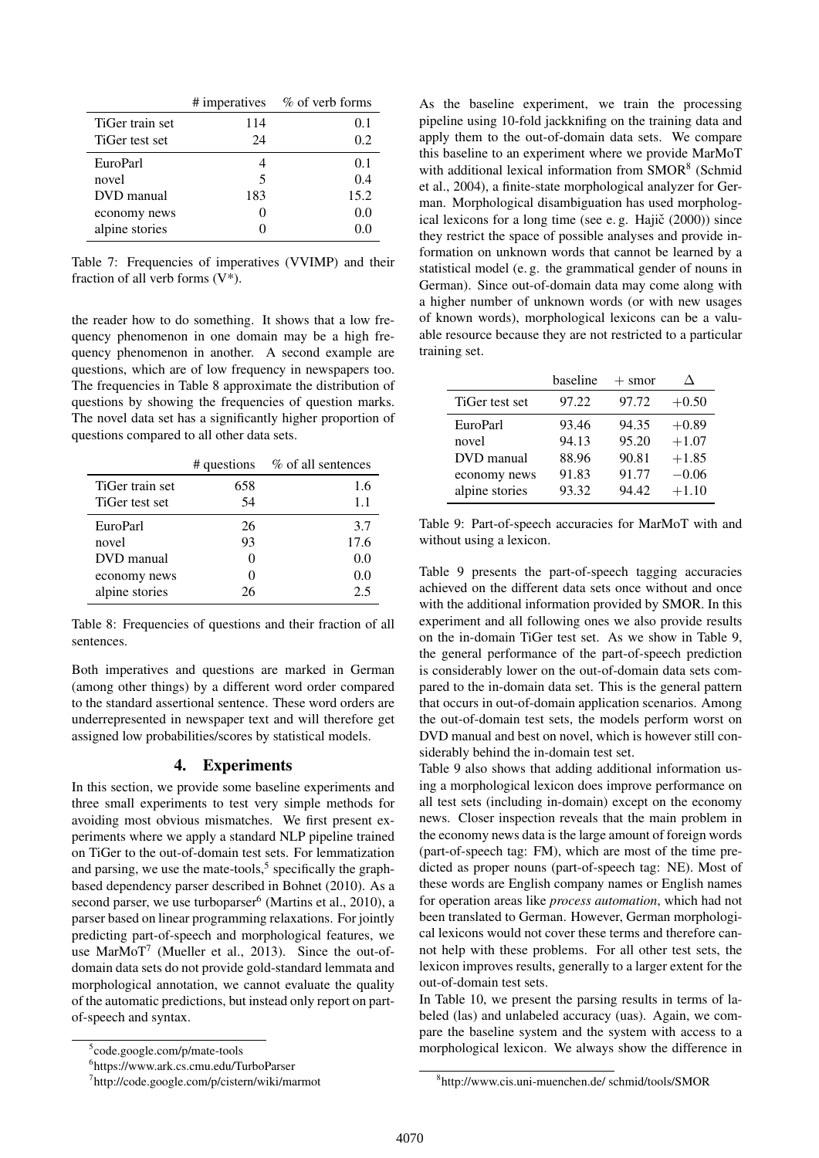|                 |     | # imperatives % of verb forms |
|-----------------|-----|-------------------------------|
| TiGer train set | 114 | 0.1                           |
| TiGer test set  | 24  | 0.2                           |
| EuroParl        |     | 0.1                           |
| novel           | 5   | 0.4                           |
| DVD manual      | 183 | 15.2                          |
| economy news    |     | 0.0                           |
| alpine stories  |     | 0.0                           |

Table 7: Frequencies of imperatives (VVIMP) and their fraction of all verb forms (V\*).

the reader how to do something. It shows that a low frequency phenomenon in one domain may be a high frequency phenomenon in another. A second example are questions, which are of low frequency in newspapers too. The frequencies in Table 8 approximate the distribution of questions by showing the frequencies of question marks. The novel data set has a significantly higher proportion of questions compared to all other data sets.

|                 | # questions | % of all sentences |
|-----------------|-------------|--------------------|
| TiGer train set | 658         | 1.6                |
| TiGer test set  | 54          | 1.1                |
| EuroParl        | 26          | 3.7                |
| novel           | 93          | 17.6               |
| DVD manual      |             | 0.0                |
| economy news    | $\Omega$    | 0.0                |
| alpine stories  | 26          | 2.5                |

Table 8: Frequencies of questions and their fraction of all sentences.

Both imperatives and questions are marked in German (among other things) by a different word order compared to the standard assertional sentence. These word orders are underrepresented in newspaper text and will therefore get assigned low probabilities/scores by statistical models.

# 4. Experiments

In this section, we provide some baseline experiments and three small experiments to test very simple methods for avoiding most obvious mismatches. We first present experiments where we apply a standard NLP pipeline trained on TiGer to the out-of-domain test sets. For lemmatization and parsing, we use the mate-tools,<sup>5</sup> specifically the graphbased dependency parser described in Bohnet (2010). As a second parser, we use turboparser<sup>6</sup> (Martins et al., 2010), a parser based on linear programming relaxations. For jointly predicting part-of-speech and morphological features, we use MarMoT<sup>7</sup> (Mueller et al., 2013). Since the out-ofdomain data sets do not provide gold-standard lemmata and morphological annotation, we cannot evaluate the quality of the automatic predictions, but instead only report on partof-speech and syntax.

As the baseline experiment, we train the processing pipeline using 10-fold jackknifing on the training data and apply them to the out-of-domain data sets. We compare this baseline to an experiment where we provide MarMoT with additional lexical information from SMOR<sup>8</sup> (Schmid et al., 2004), a finite-state morphological analyzer for German. Morphological disambiguation has used morphological lexicons for a long time (see e.g. Hajič  $(2000)$ ) since they restrict the space of possible analyses and provide information on unknown words that cannot be learned by a statistical model (e. g. the grammatical gender of nouns in German). Since out-of-domain data may come along with a higher number of unknown words (or with new usages of known words), morphological lexicons can be a valuable resource because they are not restricted to a particular training set.

|                | baseline | $+$ smor |         |
|----------------|----------|----------|---------|
| TiGer test set | 97.22    | 97.72    | $+0.50$ |
| EuroParl       | 93.46    | 94.35    | $+0.89$ |
| novel          | 94.13    | 95.20    | $+1.07$ |
| DVD manual     | 88.96    | 90.81    | $+1.85$ |
| economy news   | 91.83    | 91.77    | $-0.06$ |
| alpine stories | 93.32    | 94.42    | $+1.10$ |

Table 9: Part-of-speech accuracies for MarMoT with and without using a lexicon.

Table 9 presents the part-of-speech tagging accuracies achieved on the different data sets once without and once with the additional information provided by SMOR. In this experiment and all following ones we also provide results on the in-domain TiGer test set. As we show in Table 9, the general performance of the part-of-speech prediction is considerably lower on the out-of-domain data sets compared to the in-domain data set. This is the general pattern that occurs in out-of-domain application scenarios. Among the out-of-domain test sets, the models perform worst on DVD manual and best on novel, which is however still considerably behind the in-domain test set.

Table 9 also shows that adding additional information using a morphological lexicon does improve performance on all test sets (including in-domain) except on the economy news. Closer inspection reveals that the main problem in the economy news data is the large amount of foreign words (part-of-speech tag: FM), which are most of the time predicted as proper nouns (part-of-speech tag: NE). Most of these words are English company names or English names for operation areas like *process automation*, which had not been translated to German. However, German morphological lexicons would not cover these terms and therefore cannot help with these problems. For all other test sets, the lexicon improves results, generally to a larger extent for the out-of-domain test sets.

In Table 10, we present the parsing results in terms of labeled (las) and unlabeled accuracy (uas). Again, we compare the baseline system and the system with access to a morphological lexicon. We always show the difference in

<sup>5</sup> code.google.com/p/mate-tools

<sup>6</sup> https://www.ark.cs.cmu.edu/TurboParser

<sup>7</sup> http://code.google.com/p/cistern/wiki/marmot

<sup>8</sup> http://www.cis.uni-muenchen.de/ schmid/tools/SMOR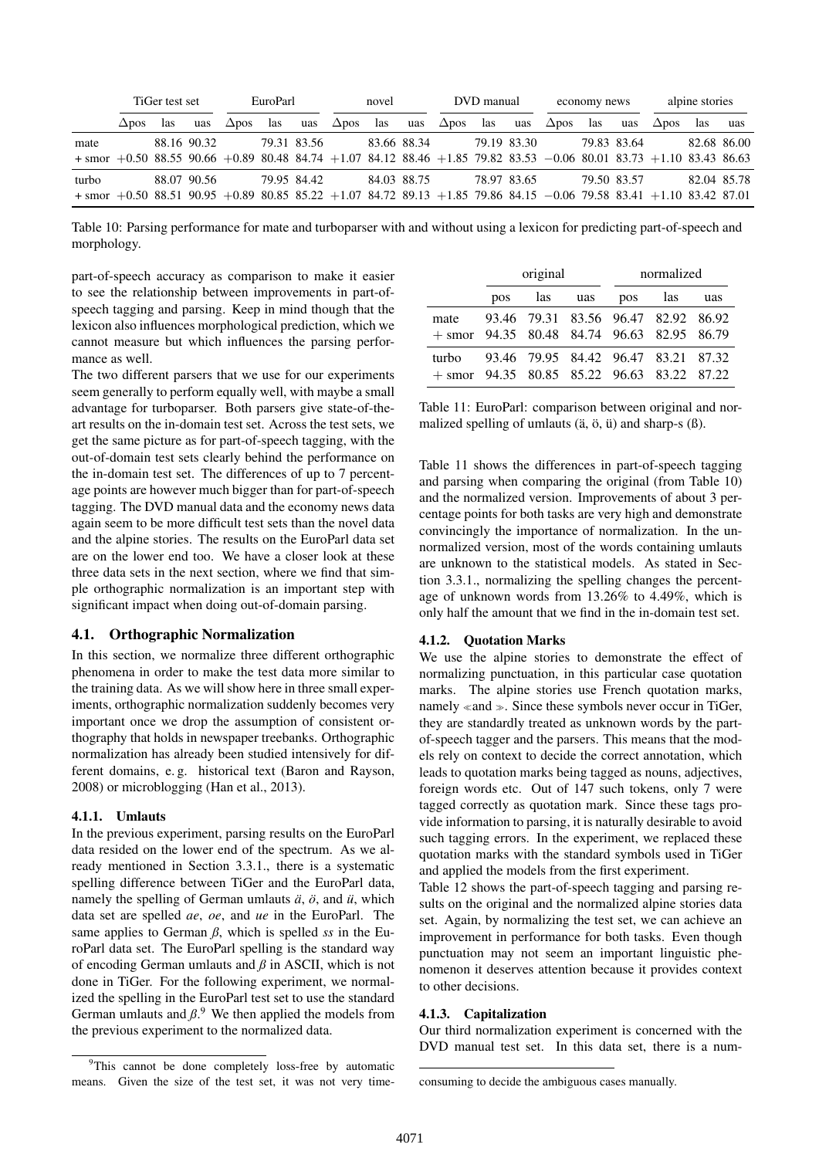|                                                                                                                                           |              | TiGer test set |             |              | EuroParl<br>novel |             | DVD manual   |     |             | economy news |     | alpine stories |              |             |     |                 |     |             |
|-------------------------------------------------------------------------------------------------------------------------------------------|--------------|----------------|-------------|--------------|-------------------|-------------|--------------|-----|-------------|--------------|-----|----------------|--------------|-------------|-----|-----------------|-----|-------------|
|                                                                                                                                           | $\Delta$ dos | las            | uas         | $\Delta$ pos | las               | uas         | $\Delta$ pos | las | uas         | $\Delta$ pos | las | uas            | $\Delta$ pos | las         | uas | $\triangle$ pos | las | uas         |
| mate<br>$+$ smor $+0.50$ 88.55 90.66 $+0.89$ 80.48 84.74 $+1.07$ 84.12 88.46 $+1.85$ 79.82 83.53 $-0.06$ 80.01 83.73 $+1.10$ 83.43 86.63  |              |                | 88.16 90.32 |              |                   | 79.31 83.56 |              |     | 83.66 88.34 |              |     | 79.19 83.30    |              | 79.83 83.64 |     |                 |     | 82.68 86.00 |
| turbo<br>$+$ smor $+0.50$ 88.51 90.95 $+0.89$ 80.85 85.22 $+1.07$ 84.72 89.13 $+1.85$ 79.86 84.15 $-0.06$ 79.58 83.41 $+1.10$ 83.42 87.01 |              |                | 88.07 90.56 |              |                   | 79.95 84.42 |              |     | 84.03 88.75 |              |     | 78.97 83.65    |              | 79.50 83.57 |     |                 |     | 82.04 85.78 |

Table 10: Parsing performance for mate and turboparser with and without using a lexicon for predicting part-of-speech and morphology.

part-of-speech accuracy as comparison to make it easier to see the relationship between improvements in part-ofspeech tagging and parsing. Keep in mind though that the lexicon also influences morphological prediction, which we cannot measure but which influences the parsing performance as well.

The two different parsers that we use for our experiments seem generally to perform equally well, with maybe a small advantage for turboparser. Both parsers give state-of-theart results on the in-domain test set. Across the test sets, we get the same picture as for part-of-speech tagging, with the out-of-domain test sets clearly behind the performance on the in-domain test set. The differences of up to 7 percentage points are however much bigger than for part-of-speech tagging. The DVD manual data and the economy news data again seem to be more difficult test sets than the novel data and the alpine stories. The results on the EuroParl data set are on the lower end too. We have a closer look at these three data sets in the next section, where we find that simple orthographic normalization is an important step with significant impact when doing out-of-domain parsing.

#### 4.1. Orthographic Normalization

In this section, we normalize three different orthographic phenomena in order to make the test data more similar to the training data. As we will show here in three small experiments, orthographic normalization suddenly becomes very important once we drop the assumption of consistent orthography that holds in newspaper treebanks. Orthographic normalization has already been studied intensively for different domains, e. g. historical text (Baron and Rayson, 2008) or microblogging (Han et al., 2013).

#### 4.1.1. Umlauts

In the previous experiment, parsing results on the EuroParl data resided on the lower end of the spectrum. As we already mentioned in Section 3.3.1., there is a systematic spelling difference between TiGer and the EuroParl data, namely the spelling of German umlauts *a*<sup>*i*</sup>, and *u*<sup>*i*</sup>, which data set are spelled *ae*, *oe*, and *ue* in the EuroParl. The same applies to German  $\beta$ , which is spelled *ss* in the EuroParl data set. The EuroParl spelling is the standard way of encoding German umlauts and *ß* in ASCII, which is not done in TiGer. For the following experiment, we normalized the spelling in the EuroParl test set to use the standard German umlauts and  $\beta$ <sup>9</sup>. We then applied the models from the previous experiment to the normalized data.

|                                                       |     | original |         | normalized                          |     |
|-------------------------------------------------------|-----|----------|---------|-------------------------------------|-----|
|                                                       | pos | las uas  | pos las |                                     | uas |
| mate<br>$+$ smor 94.35 80.48 84.74 96.63 82.95 86.79  |     |          |         | 93.46 79.31 83.56 96.47 82.92 86.92 |     |
| turbo<br>$+$ smor 94.35 80.85 85.22 96.63 83.22 87.22 |     |          |         | 93.46 79.95 84.42 96.47 83.21 87.32 |     |

Table 11: EuroParl: comparison between original and normalized spelling of umlauts  $(\ddot{a}, \ddot{o}, \ddot{u})$  and sharp-s  $(\beta)$ .

Table 11 shows the differences in part-of-speech tagging and parsing when comparing the original (from Table 10) and the normalized version. Improvements of about 3 percentage points for both tasks are very high and demonstrate convincingly the importance of normalization. In the unnormalized version, most of the words containing umlauts are unknown to the statistical models. As stated in Section 3.3.1., normalizing the spelling changes the percentage of unknown words from 13.26% to 4.49%, which is only half the amount that we find in the in-domain test set.

#### 4.1.2. Quotation Marks

We use the alpine stories to demonstrate the effect of normalizing punctuation, in this particular case quotation marks. The alpine stories use French quotation marks, namely  $\ll$  and  $\gg$ . Since these symbols never occur in TiGer, they are standardly treated as unknown words by the partof-speech tagger and the parsers. This means that the models rely on context to decide the correct annotation, which leads to quotation marks being tagged as nouns, adjectives, foreign words etc. Out of 147 such tokens, only 7 were tagged correctly as quotation mark. Since these tags provide information to parsing, it is naturally desirable to avoid such tagging errors. In the experiment, we replaced these quotation marks with the standard symbols used in TiGer and applied the models from the first experiment.

Table 12 shows the part-of-speech tagging and parsing results on the original and the normalized alpine stories data set. Again, by normalizing the test set, we can achieve an improvement in performance for both tasks. Even though punctuation may not seem an important linguistic phenomenon it deserves attention because it provides context to other decisions.

# 4.1.3. Capitalization

Our third normalization experiment is concerned with the DVD manual test set. In this data set, there is a num-

<sup>&</sup>lt;sup>9</sup>This cannot be done completely loss-free by automatic means. Given the size of the test set, it was not very time-

consuming to decide the ambiguous cases manually.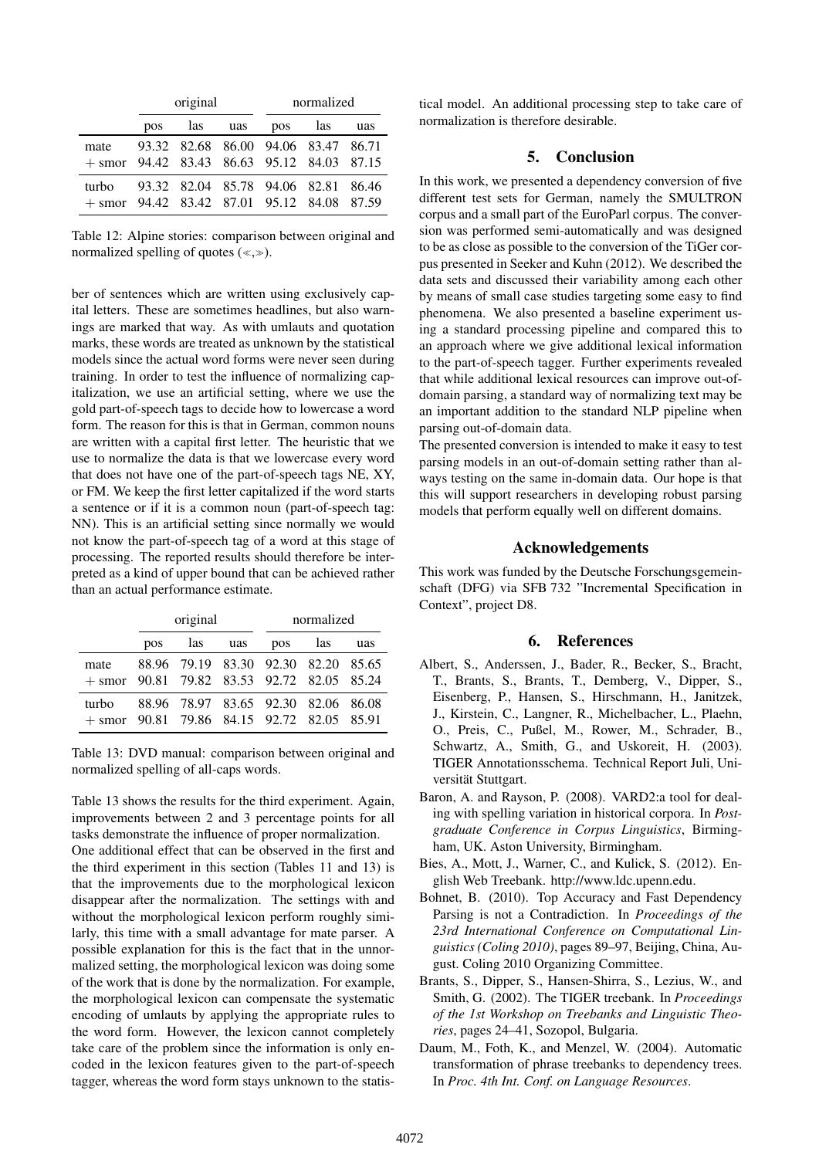|                                                       |     | original |     |                                     | normalized |     |
|-------------------------------------------------------|-----|----------|-----|-------------------------------------|------------|-----|
|                                                       | pos | las      | uas | pos las                             |            | uas |
| mate<br>$+$ smor 94.42 83.43 86.63 95.12 84.03 87.15  |     |          |     | 93.32 82.68 86.00 94.06 83.47 86.71 |            |     |
| turbo<br>$+$ smor 94.42 83.42 87.01 95.12 84.08 87.59 |     |          |     | 93.32 82.04 85.78 94.06 82.81 86.46 |            |     |

Table 12: Alpine stories: comparison between original and normalized spelling of quotes  $(\ll, \gg)$ .

ber of sentences which are written using exclusively capital letters. These are sometimes headlines, but also warnings are marked that way. As with umlauts and quotation marks, these words are treated as unknown by the statistical models since the actual word forms were never seen during training. In order to test the influence of normalizing capitalization, we use an artificial setting, where we use the gold part-of-speech tags to decide how to lowercase a word form. The reason for this is that in German, common nouns are written with a capital first letter. The heuristic that we use to normalize the data is that we lowercase every word that does not have one of the part-of-speech tags NE, XY, or FM. We keep the first letter capitalized if the word starts a sentence or if it is a common noun (part-of-speech tag: NN). This is an artificial setting since normally we would not know the part-of-speech tag of a word at this stage of processing. The reported results should therefore be interpreted as a kind of upper bound that can be achieved rather than an actual performance estimate.

|                                                       | original |     |     | normalized                          |     |     |
|-------------------------------------------------------|----------|-----|-----|-------------------------------------|-----|-----|
|                                                       | pos      | las | uas | pos                                 | las | uas |
| mate<br>$+$ smor 90.81 79.82 83.53 92.72 82.05 85.24  |          |     |     | 88.96 79.19 83.30 92.30 82.20 85.65 |     |     |
| turbo<br>$+$ smor 90.81 79.86 84.15 92.72 82.05 85.91 |          |     |     | 88.96 78.97 83.65 92.30 82.06 86.08 |     |     |

Table 13: DVD manual: comparison between original and normalized spelling of all-caps words.

Table 13 shows the results for the third experiment. Again, improvements between 2 and 3 percentage points for all tasks demonstrate the influence of proper normalization. One additional effect that can be observed in the first and the third experiment in this section (Tables 11 and 13) is that the improvements due to the morphological lexicon disappear after the normalization. The settings with and without the morphological lexicon perform roughly similarly, this time with a small advantage for mate parser. A possible explanation for this is the fact that in the unnormalized setting, the morphological lexicon was doing some of the work that is done by the normalization. For example, the morphological lexicon can compensate the systematic encoding of umlauts by applying the appropriate rules to the word form. However, the lexicon cannot completely take care of the problem since the information is only encoded in the lexicon features given to the part-of-speech tagger, whereas the word form stays unknown to the statistical model. An additional processing step to take care of normalization is therefore desirable.

# 5. Conclusion

In this work, we presented a dependency conversion of five different test sets for German, namely the SMULTRON corpus and a small part of the EuroParl corpus. The conversion was performed semi-automatically and was designed to be as close as possible to the conversion of the TiGer corpus presented in Seeker and Kuhn (2012). We described the data sets and discussed their variability among each other by means of small case studies targeting some easy to find phenomena. We also presented a baseline experiment using a standard processing pipeline and compared this to an approach where we give additional lexical information to the part-of-speech tagger. Further experiments revealed that while additional lexical resources can improve out-ofdomain parsing, a standard way of normalizing text may be an important addition to the standard NLP pipeline when parsing out-of-domain data.

The presented conversion is intended to make it easy to test parsing models in an out-of-domain setting rather than always testing on the same in-domain data. Our hope is that this will support researchers in developing robust parsing models that perform equally well on different domains.

# Acknowledgements

This work was funded by the Deutsche Forschungsgemeinschaft (DFG) via SFB 732 "Incremental Specification in Context", project D8.

#### 6. References

- Albert, S., Anderssen, J., Bader, R., Becker, S., Bracht, T., Brants, S., Brants, T., Demberg, V., Dipper, S., Eisenberg, P., Hansen, S., Hirschmann, H., Janitzek, J., Kirstein, C., Langner, R., Michelbacher, L., Plaehn, O., Preis, C., Pußel, M., Rower, M., Schrader, B., Schwartz, A., Smith, G., and Uskoreit, H. (2003). TIGER Annotationsschema. Technical Report Juli, Universität Stuttgart.
- Baron, A. and Rayson, P. (2008). VARD2:a tool for dealing with spelling variation in historical corpora. In *Postgraduate Conference in Corpus Linguistics*, Birmingham, UK. Aston University, Birmingham.
- Bies, A., Mott, J., Warner, C., and Kulick, S. (2012). English Web Treebank. http://www.ldc.upenn.edu.
- Bohnet, B. (2010). Top Accuracy and Fast Dependency Parsing is not a Contradiction. In *Proceedings of the 23rd International Conference on Computational Linguistics (Coling 2010)*, pages 89–97, Beijing, China, August. Coling 2010 Organizing Committee.
- Brants, S., Dipper, S., Hansen-Shirra, S., Lezius, W., and Smith, G. (2002). The TIGER treebank. In *Proceedings of the 1st Workshop on Treebanks and Linguistic Theories*, pages 24–41, Sozopol, Bulgaria.
- Daum, M., Foth, K., and Menzel, W. (2004). Automatic transformation of phrase treebanks to dependency trees. In *Proc. 4th Int. Conf. on Language Resources*.